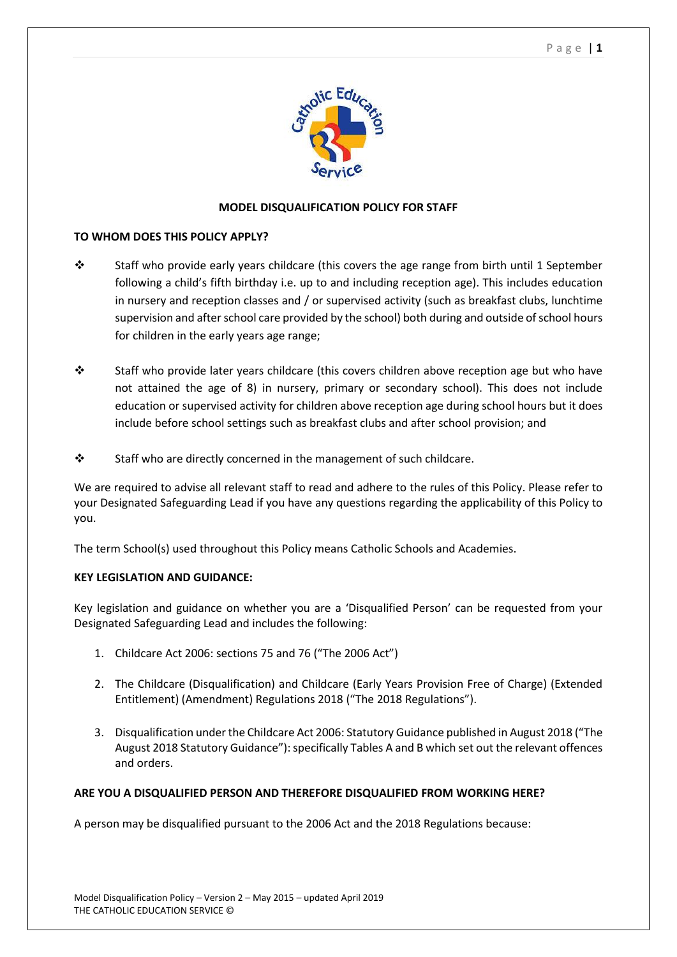

### **MODEL DISQUALIFICATION POLICY FOR STAFF**

### **TO WHOM DOES THIS POLICY APPLY?**

- $\cdot \cdot$  Staff who provide early years childcare (this covers the age range from birth until 1 September following a child's fifth birthday i.e. up to and including reception age). This includes education in nursery and reception classes and / or supervised activity (such as breakfast clubs, lunchtime supervision and after school care provided by the school) both during and outside of school hours for children in the early years age range;
- \* Staff who provide later years childcare (this covers children above reception age but who have not attained the age of 8) in nursery, primary or secondary school). This does not include education or supervised activity for children above reception age during school hours but it does include before school settings such as breakfast clubs and after school provision; and
- $\cdot \cdot$  Staff who are directly concerned in the management of such childcare.

We are required to advise all relevant staff to read and adhere to the rules of this Policy. Please refer to your Designated Safeguarding Lead if you have any questions regarding the applicability of this Policy to you.

The term School(s) used throughout this Policy means Catholic Schools and Academies.

### **KEY LEGISLATION AND GUIDANCE:**

Key legislation and guidance on whether you are a 'Disqualified Person' can be requested from your Designated Safeguarding Lead and includes the following:

- 1. Childcare Act 2006: sections 75 and 76 ("The 2006 Act")
- 2. The Childcare (Disqualification) and Childcare (Early Years Provision Free of Charge) (Extended Entitlement) (Amendment) Regulations 2018 ("The 2018 Regulations").
- 3. Disqualification under the Childcare Act 2006: Statutory Guidance published in August 2018 ("The August 2018 Statutory Guidance"): specifically Tables A and B which set out the relevant offences and orders.

### **ARE YOU A DISQUALIFIED PERSON AND THEREFORE DISQUALIFIED FROM WORKING HERE?**

A person may be disqualified pursuant to the 2006 Act and the 2018 Regulations because: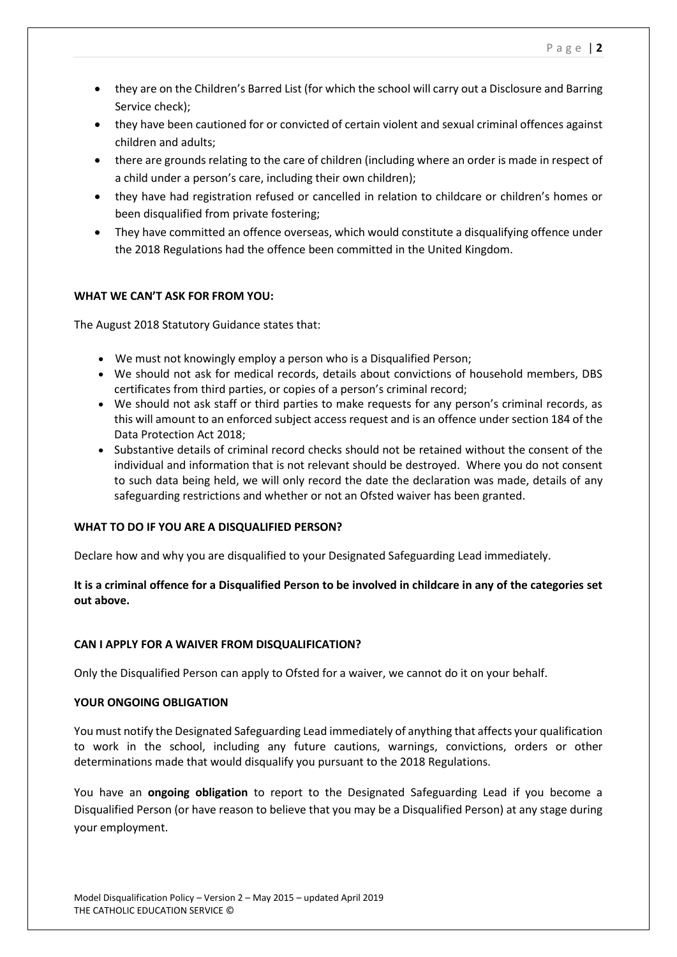- they are on the Children's Barred List (for which the school will carry out a Disclosure and Barring Service check);
- they have been cautioned for or convicted of certain violent and sexual criminal offences against children and adults;
- there are grounds relating to the care of children (including where an order is made in respect of a child under a person's care, including their own children);
- they have had registration refused or cancelled in relation to childcare or children's homes or been disqualified from private fostering;
- They have committed an offence overseas, which would constitute a disqualifying offence under the 2018 Regulations had the offence been committed in the United Kingdom.

# **WHAT WE CAN'T ASK FOR FROM YOU:**

The August 2018 Statutory Guidance states that:

- We must not knowingly employ a person who is a Disqualified Person;
- We should not ask for medical records, details about convictions of household members, DBS certificates from third parties, or copies of a person's criminal record;
- We should not ask staff or third parties to make requests for any person's criminal records, as this will amount to an enforced subject access request and is an offence under section 184 of the Data Protection Act 2018;
- Substantive details of criminal record checks should not be retained without the consent of the individual and information that is not relevant should be destroyed. Where you do not consent to such data being held, we will only record the date the declaration was made, details of any safeguarding restrictions and whether or not an Ofsted waiver has been granted.

### **WHAT TO DO IF YOU ARE A DISQUALIFIED PERSON?**

Declare how and why you are disqualified to your Designated Safeguarding Lead immediately.

# **It is a criminal offence for a Disqualified Person to be involved in childcare in any of the categories set out above.**

### **CAN I APPLY FOR A WAIVER FROM DISQUALIFICATION?**

Only the Disqualified Person can apply to Ofsted for a waiver, we cannot do it on your behalf.

# **YOUR ONGOING OBLIGATION**

You must notify the Designated Safeguarding Lead immediately of anything that affects your qualification to work in the school, including any future cautions, warnings, convictions, orders or other determinations made that would disqualify you pursuant to the 2018 Regulations.

You have an **ongoing obligation** to report to the Designated Safeguarding Lead if you become a Disqualified Person (or have reason to believe that you may be a Disqualified Person) at any stage during your employment.